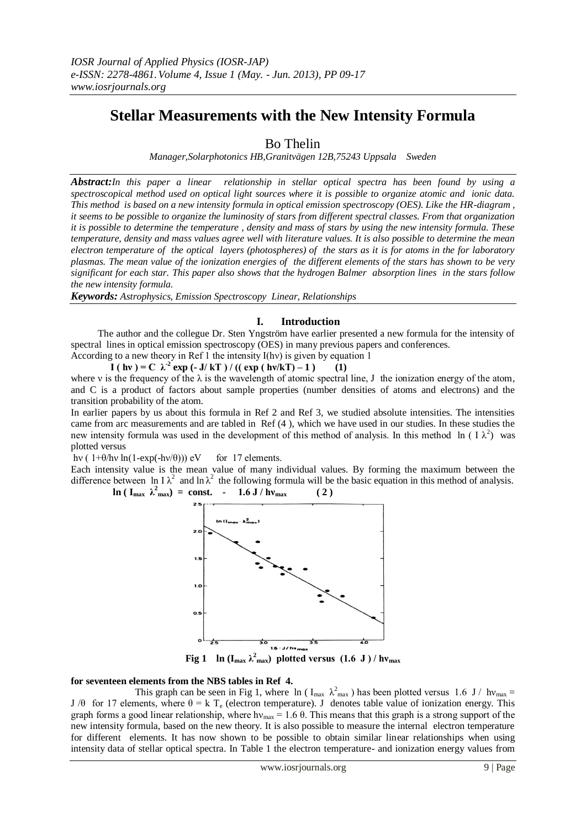# **Stellar Measurements with the New Intensity Formula**

Bo Thelin

*Manager,Solarphotonics HB,Granitvägen 12B,75243 Uppsala Sweden*

*Abstract:In this paper a linear relationship in stellar optical spectra has been found by using a spectroscopical method used on optical light sources where it is possible to organize atomic and ionic data. This method is based on a new intensity formula in optical emission spectroscopy (OES). Like the HR-diagram , it seems to be possible to organize the luminosity of stars from different spectral classes. From that organization it is possible to determine the temperature , density and mass of stars by using the new intensity formula. These temperature, density and mass values agree well with literature values. It is also possible to determine the mean electron temperature of the optical layers (photospheres) of the stars as it is for atoms in the for laboratory plasmas. The mean value of the ionization energies of the different elements of the stars has shown to be very significant for each star. This paper also shows that the hydrogen Balmer absorption lines in the stars follow the new intensity formula.*

*Keywords: Astrophysics, Emission Spectroscopy Linear, Relationships*

# **I. Introduction**

 The author and the collegue Dr. Sten Yngström have earlier presented a new formula for the intensity of spectral lines in optical emission spectroscopy (OES) in many previous papers and conferences.

According to a new theory in Ref 1 the intensity I(hν) is given by equation 1

**I** ( hv ) = C  $\lambda^2$  exp (- **J**/ kT ) / (( exp ( hv/kT) – 1 ) (1) where v is the frequency of the  $\lambda$  is the wavelength of atomic spectral line, J the ionization energy of the atom, and C is a product of factors about sample properties (number densities of atoms and electrons) and the transition probability of the atom.

In earlier papers by us about this formula in Ref 2 and Ref 3, we studied absolute intensities. The intensities came from arc measurements and are tabled in Ref (4 ), which we have used in our studies. In these studies the new intensity formula was used in the development of this method of analysis. In this method ln ( $I \lambda^2$ ) was plotted versus

hv (  $1+\theta$ /hv ln( $1-exp(-h\nu/\theta)$ )) eV for 17 elements.

Each intensity value is the mean value of many individual values. By forming the maximum between the difference between ln I $\lambda^2$  and ln  $\lambda^2$  the following formula will be the basic equation in this method of analysis.  $\ln (I_{\text{max}} \lambda_{\text{max}}^2) = \text{const.}$  - 1.6 J /  $h v_{\text{max}}$  ( 2 )



**Fig 1** ln ( $I_{max} \lambda_{max}^2$ ) plotted versus (1.6 J)/hv<sub>max</sub>

# **for seventeen elements from the NBS tables in Ref 4.**

This graph can be seen in Fig 1, where  $\ln (I_{max} \lambda_{max}^2)$  has been plotted versus 1.6 J/  $h v_{max} =$ J /θ for 17 elements, where  $\theta = k T_e$  (electron temperature). J denotes table value of ionization energy. This graph forms a good linear relationship, where  $hv_{\text{max}} = 1.6 \theta$ . This means that this graph is a strong support of the new intensity formula, based on the new theory. It is also possible to measure the internal electron temperature for different elements. It has now shown to be possible to obtain similar linear relationships when using intensity data of stellar optical spectra. In Table 1 the electron temperature- and ionization energy values from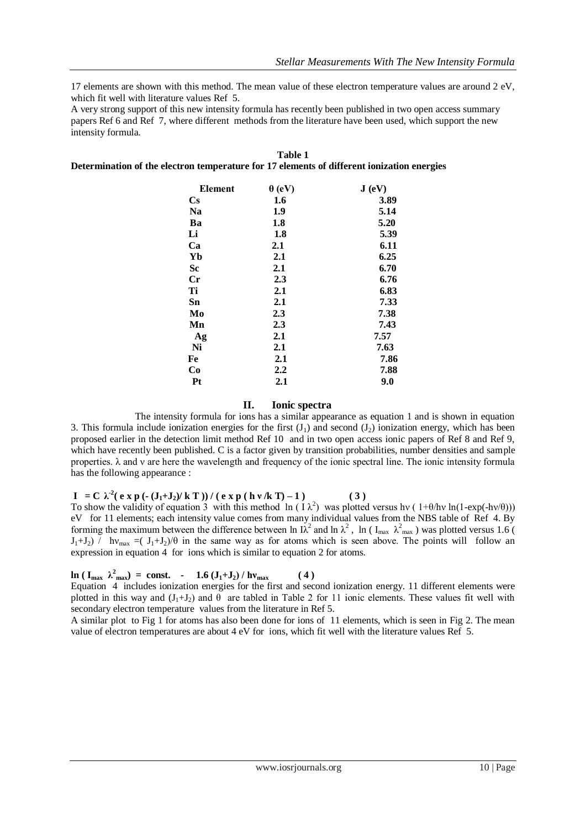17 elements are shown with this method. The mean value of these electron temperature values are around 2 eV, which fit well with literature values Ref 5.

A very strong support of this new intensity formula has recently been published in two open access summary papers Ref 6 and Ref 7, where different methods from the literature have been used, which support the new intensity formula.

| <b>Element</b>         | $\theta$ (eV) | J(eV) |
|------------------------|---------------|-------|
| $\mathbf{C}\mathbf{s}$ | 1.6           | 3.89  |
| <b>Na</b>              | 1.9           | 5.14  |
| Ba                     | 1.8           | 5.20  |
| Li                     | 1.8           | 5.39  |
| Ca                     | $2.1\,$       | 6.11  |
| Yb                     | 2.1           | 6.25  |
| Sc                     | 2.1           | 6.70  |
| $_{\rm Cr}$            | 2.3           | 6.76  |
| Ti                     | 2.1           | 6.83  |
| Sn                     | 2.1           | 7.33  |
| Mo                     | 2.3           | 7.38  |
| Mn                     | 2.3           | 7.43  |
| Ag                     | 2.1           | 7.57  |
| Ni                     | 2.1           | 7.63  |
| Fe                     | 2.1           | 7.86  |
| Co                     | $2.2\,$       | 7.88  |
| Pt                     | 2.1           | 9.0   |

#### **Table 1 Determination of the electron temperature for 17 elements of different ionization energies**

### **II. Ionic spectra**

The intensity formula for ions has a similar appearance as equation 1 and is shown in equation 3. This formula include ionization energies for the first  $(J_1)$  and second  $(J_2)$  ionization energy, which has been proposed earlier in the detection limit method Ref 10 and in two open access ionic papers of Ref 8 and Ref 9, which have recently been published. C is a factor given by transition probabilities, number densities and sample properties. λ and ν are here the wavelength and frequency of the ionic spectral line. The ionic intensity formula has the following appearance :

**I** = **C**  $\lambda^2$  (**e** x **p** (**-** (**J**<sub>1</sub>+**J**<sub>2</sub>)/**k T** )) / (**e** x **p** (**hv**/**k T**) – **1**) (3)

To show the validity of equation 3 with this method  $\ln (1 \lambda^2)$  was plotted versus hv (1+θ/hv ln(1-exp(-hv/θ))) eV for 11 elements; each intensity value comes from many individual values from the NBS table of Ref 4. By forming the maximum between the difference between ln  $\lambda^2$  and ln  $\lambda^2$ , ln ( $I_{\text{max}}$ ,  $\lambda^2_{\text{max}}$ ) was plotted versus 1.6 (  $J_1+J_2$ ) / hv<sub>max</sub> =( $J_1+J_2$ )/ $\theta$  in the same way as for atoms which is seen above. The points will follow an expression in equation 4 for ions which is similar to equation 2 for atoms.

# $\ln (\mathbf{I}_{\text{max}} \ \lambda_{\text{max}}^2) = \text{const.} \ - \ 1.6 \left( \mathbf{J}_1 + \mathbf{J}_2 \right) / \mathbf{h} \mathbf{v}_{\text{max}}$  (4)

Equation 4 includes ionization energies for the first and second ionization energy. 11 different elements were plotted in this way and  $(J_1+J_2)$  and  $\theta$  are tabled in Table 2 for 11 ionic elements. These values fit well with secondary electron temperature values from the literature in Ref 5.

A similar plot to Fig 1 for atoms has also been done for ions of 11 elements, which is seen in Fig 2. The mean value of electron temperatures are about 4 eV for ions, which fit well with the literature values Ref 5.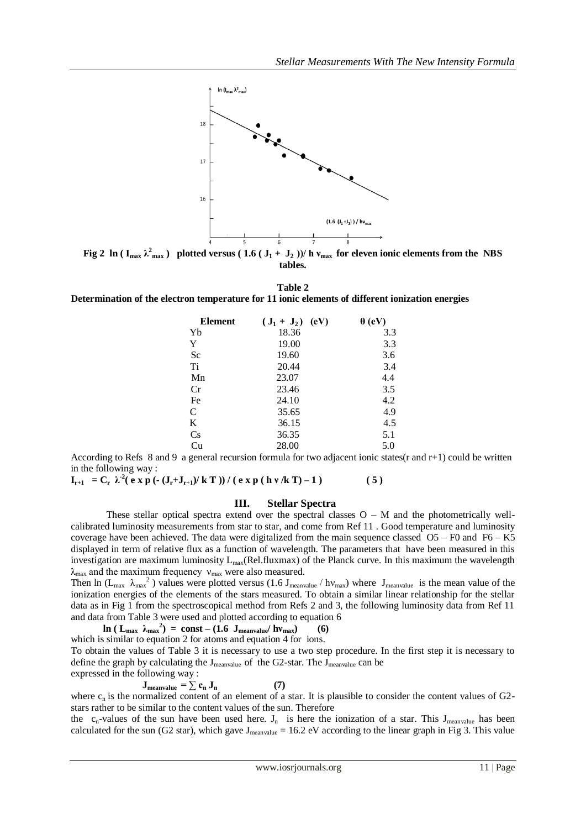

**Fig 2** ln ( $I_{max} \lambda_{max}^2$ ) plotted versus ( $1.6$  ( $J_1 + J_2$ ))/ h  $v_{max}$  for eleven ionic elements from the NBS **tables.**

**Table 2**

**Determination of the electron temperature for 11 ionic elements of different ionization energies** 

| <b>Element</b> | (eV)<br>$({\bf J}_1 + {\bf J}_2)$ | $\theta$ (eV) |
|----------------|-----------------------------------|---------------|
| Yb             | 18.36                             | 3.3           |
| Y              | 19.00                             | 3.3           |
| Sc             | 19.60                             | 3.6           |
| Ti             | 20.44                             | 3.4           |
| Mn             | 23.07                             | 4.4           |
| Cr             | 23.46                             | 3.5           |
| Fe             | 24.10                             | 4.2           |
| C              | 35.65                             | 4.9           |
| K              | 36.15                             | 4.5           |
| Cs             | 36.35                             | 5.1           |
| Cu             | 28.00                             | 5.0           |

According to Refs 8 and 9 a general recursion formula for two adjacent ionic states(r and r+1) could be written in the following way :

**I**<sub>r+1</sub> = C<sub>r</sub>  $\lambda^2$ (e x p (- (J<sub>r</sub>+J<sub>r+1</sub>)/k T )) / (e x p (h v /k T) – 1 ) (5)

### **III. Stellar Spectra**

These stellar optical spectra extend over the spectral classes  $O - M$  and the photometrically wellcalibrated luminosity measurements from star to star, and come from Ref 11 . Good temperature and luminosity coverage have been achieved. The data were digitalized from the main sequence classed O5 – F0 and F6 – K5 displayed in term of relative flux as a function of wavelength. The parameters that have been measured in this investigation are maximum luminosity  $L_{max}(Rel-fluxmax)$  of the Planck curve. In this maximum the wavelength  $\lambda_{\text{max}}$  and the maximum frequency  $v_{\text{max}}$  were also measured.

Then ln ( $L_{max}$   $\lambda_{max}$ <sup>2</sup>) values were plotted versus (1.6 J<sub>meanvalue</sub> / hv<sub>max</sub>) where J<sub>meanvalue</sub> is the mean value of the ionization energies of the elements of the stars measured. To obtain a similar linear relationship for the stellar data as in Fig 1 from the spectroscopical method from Refs 2 and 3, the following luminosity data from Ref 11 and data from Table 3 were used and plotted according to equation 6

 $\ln$  (  $L_{\text{max}}$   $\lambda_{\text{max}}^2$ ) = const – (1.6  $J_{\text{meanvalue}}/h\nu_{\text{max}}$ ) (6)

which is similar to equation 2 for atoms and equation 4 for ions.

To obtain the values of Table 3 it is necessary to use a two step procedure. In the first step it is necessary to define the graph by calculating the Jmeanvalueof the G2-star. The Jmeanvalue can be expressed in the following way :

$$
\mathbf{J}_{\text{meanvalue}} = \sum \mathbf{c}_{\mathbf{n}} \mathbf{J}_{\mathbf{n}} \tag{7}
$$

where  $c_n$  is the normalized content of an element of a star. It is plausible to consider the content values of G2stars rather to be similar to the content values of the sun. Therefore

the  $c_n$ -values of the sun have been used here.  $J_n$  is here the ionization of a star. This  $J_{mean value}$  has been calculated for the sun (G2 star), which gave  $J_{mean value} = 16.2$  eV according to the linear graph in Fig 3. This value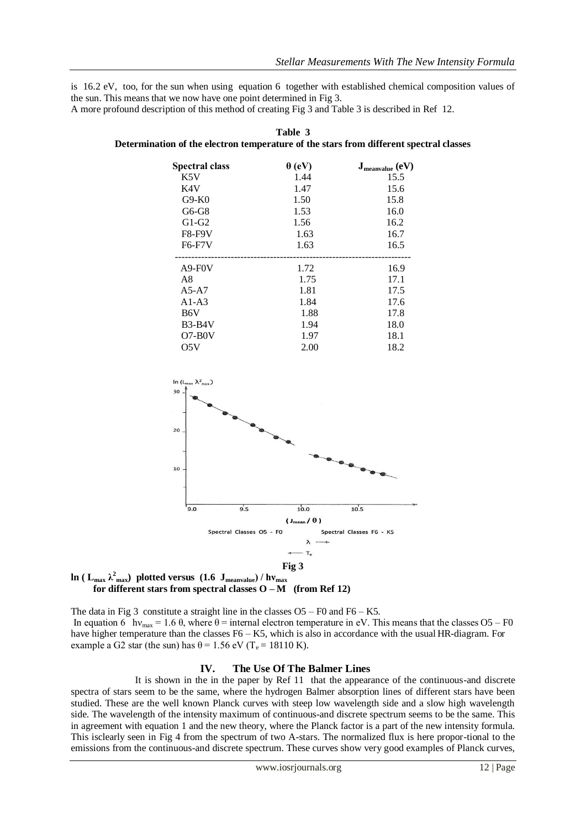is 16.2 eV, too, for the sun when using equation 6 together with established chemical composition values of the sun. This means that we now have one point determined in Fig 3.

A more profound description of this method of creating Fig 3 and Table 3 is described in Ref 12.

| <b>Spectral class</b> | $\theta$ (eV) | $J_{\text{meanvalue}}$ (eV) |
|-----------------------|---------------|-----------------------------|
| K5V                   | 1.44          | 15.5                        |
| K4V                   | 1.47          | 15.6                        |
| $G9-K0$               | 1.50          | 15.8                        |
| $G6-G8$               | 1.53          | 16.0                        |
| $G1-G2$               | 1.56          | 16.2                        |
| <b>F8-F9V</b>         | 1.63          | 16.7                        |
| F6-F7V                | 1.63          | 16.5                        |
|                       |               |                             |
| $A9-F0V$              | 1.72          | 16.9                        |
| A8                    | 1.75          | 17.1                        |
| $A5-A7$               | 1.81          | 17.5                        |
| $A1-A3$               | 1.84          | 17.6                        |
| B6V                   | 1.88          | 17.8                        |
| $B3-B4V$              | 1.94          | 18.0                        |
| $O7-B0V$              | 1.97          | 18.1                        |
| O5V                   | 2.00          | 18.2                        |







The data in Fig 3 constitute a straight line in the classes  $O5 - F0$  and  $F6 - K5$ . In equation 6 hv<sub>max</sub> = 1.6  $\theta$ , where  $\theta$  = internal electron temperature in eV. This means that the classes O5 – F0 have higher temperature than the classes F6 – K5, which is also in accordance with the usual HR-diagram. For example a G2 star (the sun) has  $\theta$  = 1.56 eV (T<sub>e</sub> = 18110 K).

### **IV. The Use Of The Balmer Lines**

It is shown in the in the paper by Ref 11 that the appearance of the continuous-and discrete spectra of stars seem to be the same, where the hydrogen Balmer absorption lines of different stars have been studied. These are the well known Planck curves with steep low wavelength side and a slow high wavelength side. The wavelength of the intensity maximum of continuous-and discrete spectrum seems to be the same. This in agreement with equation 1 and the new theory, where the Planck factor is a part of the new intensity formula. This isclearly seen in Fig 4 from the spectrum of two A-stars. The normalized flux is here propor-tional to the emissions from the continuous-and discrete spectrum. These curves show very good examples of Planck curves,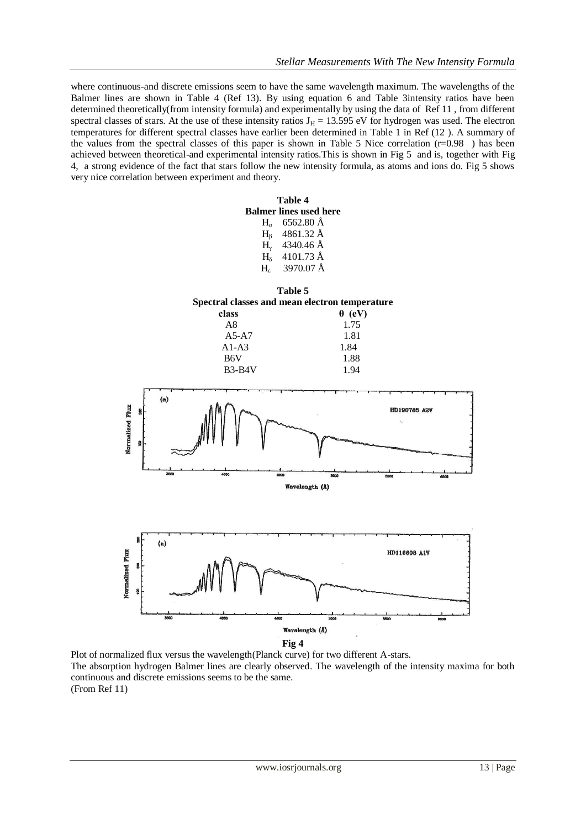where continuous-and discrete emissions seem to have the same wavelength maximum. The wavelengths of the Balmer lines are shown in Table 4 (Ref 13). By using equation 6 and Table 3intensity ratios have been determined theoretically(from intensity formula) and experimentally by using the data of Ref 11 , from different spectral classes of stars. At the use of these intensity ratios  $J_H = 13.595$  eV for hydrogen was used. The electron temperatures for different spectral classes have earlier been determined in Table 1 in Ref (12 ). A summary of the values from the spectral classes of this paper is shown in Table 5 Nice correlation  $(r=0.98)$  has been achieved between theoretical-and experimental intensity ratios.This is shown in Fig 5 and is, together with Fig 4, a strong evidence of the fact that stars follow the new intensity formula, as atoms and ions do. Fig 5 shows very nice correlation between experiment and theory.



Plot of normalized flux versus the wavelength(Planck curve) for two different A-stars. The absorption hydrogen Balmer lines are clearly observed. The wavelength of the intensity maxima for both continuous and discrete emissions seems to be the same. (From Ref 11)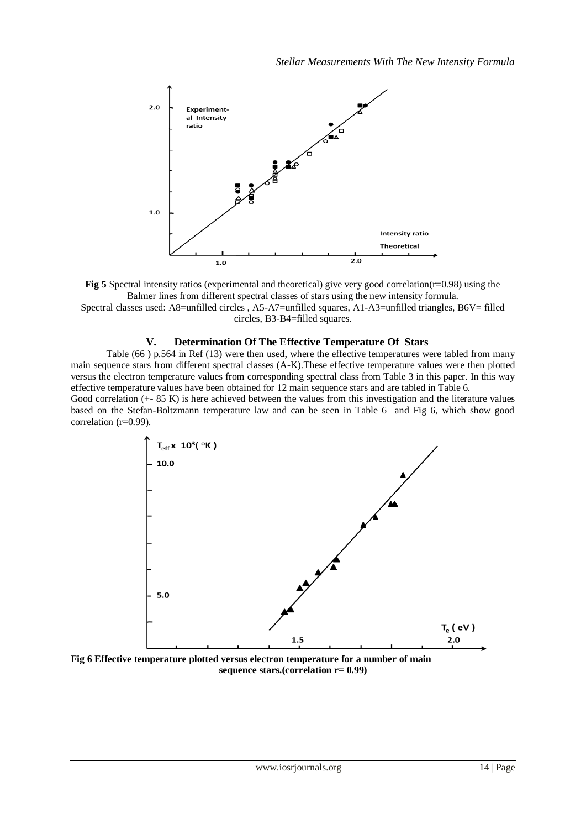

**Fig 5** Spectral intensity ratios (experimental and theoretical) give very good correlation(r=0.98) using the Balmer lines from different spectral classes of stars using the new intensity formula. Spectral classes used: A8=unfilled circles, A5-A7=unfilled squares, A1-A3=unfilled triangles, B6V= filled circles, B3-B4=filled squares.

## **V. Determination Of The Effective Temperature Of Stars**

Table (66 ) p.564 in Ref (13) were then used, where the effective temperatures were tabled from many main sequence stars from different spectral classes (A-K).These effective temperature values were then plotted versus the electron temperature values from corresponding spectral class from Table 3 in this paper. In this way effective temperature values have been obtained for 12 main sequence stars and are tabled in Table 6. Good correlation (+- 85 K) is here achieved between the values from this investigation and the literature values

based on the Stefan-Boltzmann temperature law and can be seen in Table 6 and Fig 6, which show good correlation (r=0.99).



**Fig 6 Effective temperature plotted versus electron temperature for a number of main sequence stars.(correlation r= 0.99)**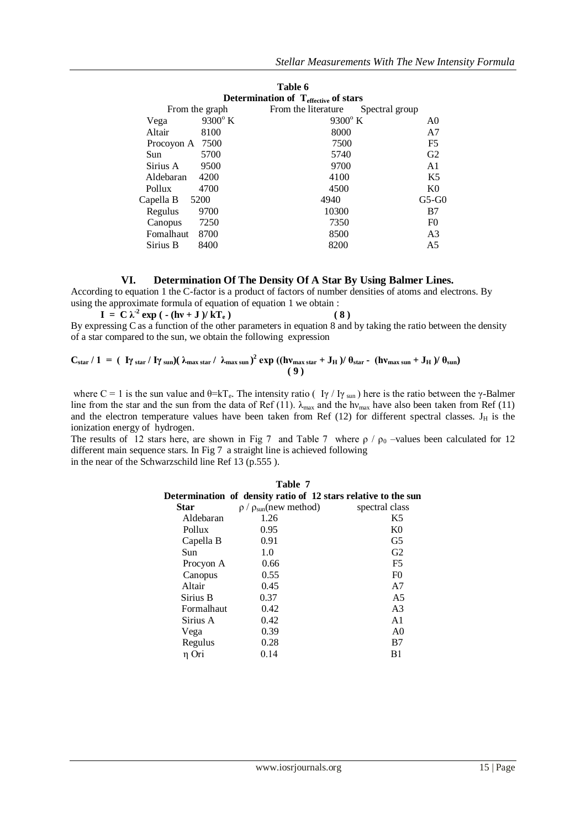|                |                  | Table 6                                          |                |
|----------------|------------------|--------------------------------------------------|----------------|
|                |                  | Determination of $T_{\text{effective}}$ of stars |                |
| From the graph |                  | From the literature                              | Spectral group |
| Vega           | $9300^{\circ}$ K | $9300^{\circ}$ K                                 | A0             |
| Altair         | 8100             | 8000                                             | A7             |
| Procoyon A     | 7500             | 7500                                             | F <sub>5</sub> |
| Sun            | 5700             | 5740                                             | G2             |
| Sirius A       | 9500             | 9700                                             | A <sub>1</sub> |
| Aldebaran      | 4200             | 4100                                             | K5             |
| Pollux         | 4700             | 4500                                             | K <sub>0</sub> |
| Capella B      | 5200             | 4940                                             | $G5-G0$        |
| Regulus        | 9700             | 10300                                            | B7             |
| Canopus        | 7250             | 7350                                             | F <sub>0</sub> |
| Fomalhaut      | 8700             | 8500                                             | A <sub>3</sub> |
| Sirius B       | 8400             | 8200                                             | A5             |

## **VI. Determination Of The Density Of A Star By Using Balmer Lines.**

According to equation 1 the C-factor is a product of factors of number densities of atoms and electrons. By using the approximate formula of equation of equation 1 we obtain :

 **I** =  $C \lambda^2 \exp(- (\hbar v + J)/kT_e)$  (8) By expressing C as a function of the other parameters in equation 8 and by taking the ratio between the density of a star compared to the sun, we obtain the following expression

$$
C_{star} / 1 = ( \frac{I\gamma}{\text{star}} / \frac{I\gamma}{\text{sun}}) (\lambda_{max\,star} / \lambda_{max\,sun})^2 \exp((h\nu_{max\,star} + J_H) / \theta_{star} - (h\nu_{max\,sun} + J_H) / \theta_{sun})
$$

where C = 1 is the sun value and  $\theta = kT_e$ . The intensity ratio ( I $\gamma$  / I $\gamma$  sun) here is the ratio between the  $\gamma$ -Balmer line from the star and the sun from the data of Ref (11).  $\lambda_{\text{max}}$  and the hy<sub>max</sub> have also been taken from Ref (11) and the electron temperature values have been taken from Ref  $(12)$  for different spectral classes. J<sub>H</sub> is the ionization energy of hydrogen.

The results of 12 stars here, are shown in Fig 7 and Table 7 where  $\rho / \rho_0$  –values been calculated for 12 different main sequence stars. In Fig 7 a straight line is achieved following in the near of the Schwarzschild line Ref 13 (p.555 ).

| Table 7    |                                                                |                |  |
|------------|----------------------------------------------------------------|----------------|--|
|            | Determination of density ratio of 12 stars relative to the sun |                |  |
| Star       | $\rho / \rho_{sun}$ (new method)                               | spectral class |  |
| Aldebaran  | 1.26                                                           | K5             |  |
| Pollux     | 0.95                                                           | K <sub>0</sub> |  |
| Capella B  | 0.91                                                           | G <sub>5</sub> |  |
| Sun        | 1.0                                                            | G <sub>2</sub> |  |
| Procyon A  | 0.66                                                           | F <sub>5</sub> |  |
| Canopus    | 0.55                                                           | F <sub>0</sub> |  |
| Altair     | 0.45                                                           | A7             |  |
| Sirius B   | 0.37                                                           | A <sub>5</sub> |  |
| Formalhaut | 0.42                                                           | A <sub>3</sub> |  |
| Sirius A   | 0.42                                                           | A <sub>1</sub> |  |
| Vega       | 0.39                                                           | A <sub>0</sub> |  |
| Regulus    | 0.28                                                           | B7             |  |
| n Ori      | 0.14                                                           | B1             |  |
|            |                                                                |                |  |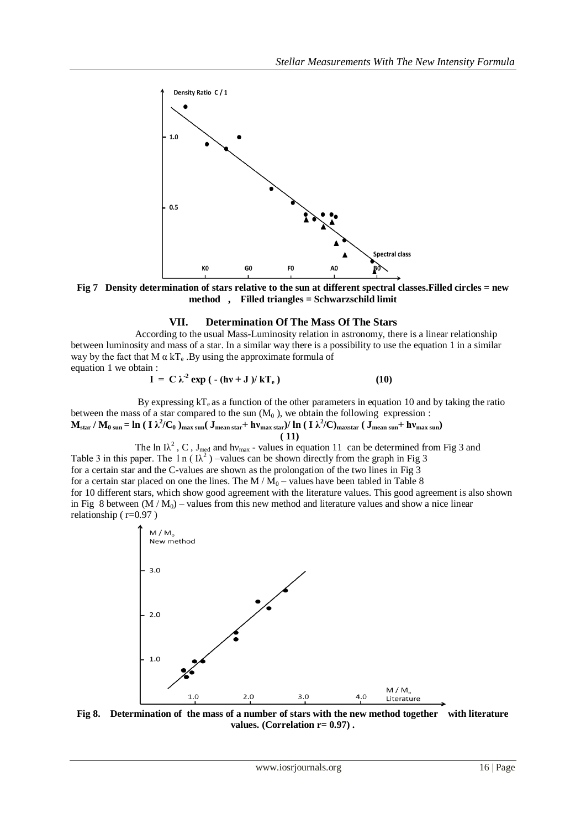

**Fig 7 Density determination of stars relative to the sun at different spectral classes.Filled circles = new method , Filled triangles = Schwarzschild limit**

### **VII. Determination Of The Mass Of The Stars**

According to the usual Mass-Luminosity relation in astronomy, there is a linear relationship between luminosity and mass of a star. In a similar way there is a possibility to use the equation 1 in a similar way by the fact that M  $\alpha$  kT<sub>e</sub>. By using the approximate formula of equation 1 we obtain :

$$
I = C \lambda^2 \exp \left( - (\hbar v + J) / kT_e \right) \tag{10}
$$

By expressing  $kT_e$  as a function of the other parameters in equation 10 and by taking the ratio between the mass of a star compared to the sun  $(M_0)$ , we obtain the following expression :  $M_{\rm star}/M_{\rm 0\,sun}$  =  $\ln$  ( I  $\lambda^2/C_0$  )<sub>max sun</sub>( J<sub>mean star</sub> +  $h v_{\rm max\,star}$ )/  $\ln$  ( I  $\lambda^2/C$ )<sub>maxstar</sub> ( J<sub>mean sun</sub> +  $h v_{\rm max\,sun}$ )

 **( 11)** The ln I $\lambda^2$ , C, J<sub>med</sub> and hv<sub>max</sub> - values in equation 11 can be determined from Fig 3 and Table 3 in this paper. The 1 n ( $\lambda^2$ ) –values can be shown directly from the graph in Fig 3 for a certain star and the C-values are shown as the prolongation of the two lines in Fig 3 for a certain star placed on one the lines. The  $M/M_0$  – values have been tabled in Table 8 for 10 different stars, which show good agreement with the literature values. This good agreement is also shown in Fig 8 between  $(M/M_0)$  – values from this new method and literature values and show a nice linear

relationship ( $r=0.97$ )



**Fig 8. Determination of the mass of a number of stars with the new method together with literature values. (Correlation r= 0.97) .**